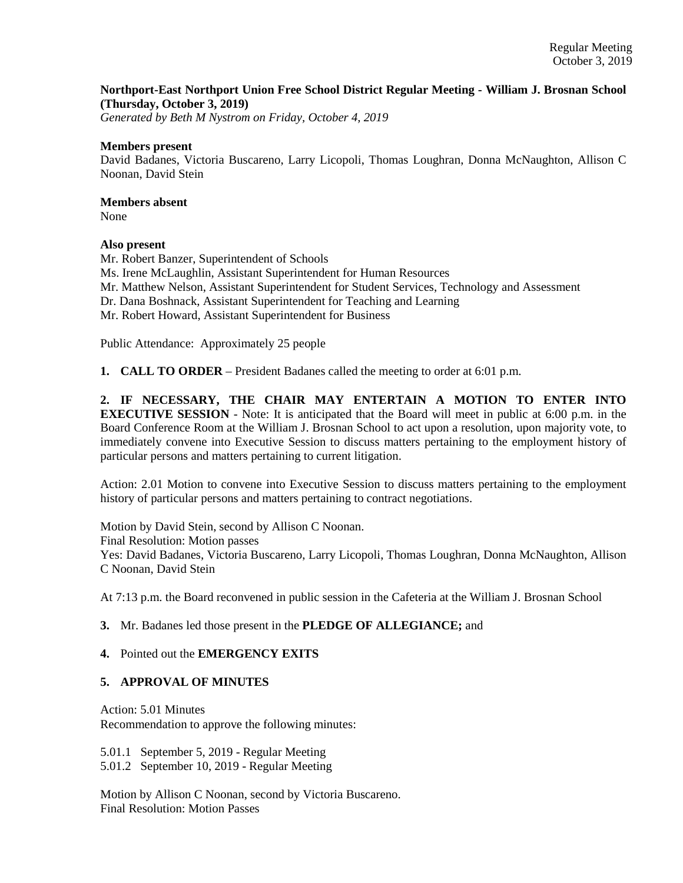### **Northport-East Northport Union Free School District Regular Meeting - William J. Brosnan School (Thursday, October 3, 2019)**

*Generated by Beth M Nystrom on Friday, October 4, 2019*

#### **Members present**

David Badanes, Victoria Buscareno, Larry Licopoli, Thomas Loughran, Donna McNaughton, Allison C Noonan, David Stein

### **Members absent**

None

### **Also present**

Mr. Robert Banzer, Superintendent of Schools Ms. Irene McLaughlin, Assistant Superintendent for Human Resources Mr. Matthew Nelson, Assistant Superintendent for Student Services, Technology and Assessment Dr. Dana Boshnack, Assistant Superintendent for Teaching and Learning Mr. Robert Howard, Assistant Superintendent for Business

Public Attendance: Approximately 25 people

**1. CALL TO ORDER** – President Badanes called the meeting to order at 6:01 p.m.

**2. IF NECESSARY, THE CHAIR MAY ENTERTAIN A MOTION TO ENTER INTO EXECUTIVE SESSION** - Note: It is anticipated that the Board will meet in public at 6:00 p.m. in the Board Conference Room at the William J. Brosnan School to act upon a resolution, upon majority vote, to immediately convene into Executive Session to discuss matters pertaining to the employment history of particular persons and matters pertaining to current litigation.

Action: 2.01 Motion to convene into Executive Session to discuss matters pertaining to the employment history of particular persons and matters pertaining to contract negotiations.

Motion by David Stein, second by Allison C Noonan. Final Resolution: Motion passes Yes: David Badanes, Victoria Buscareno, Larry Licopoli, Thomas Loughran, Donna McNaughton, Allison C Noonan, David Stein

At 7:13 p.m. the Board reconvened in public session in the Cafeteria at the William J. Brosnan School

# **3.** Mr. Badanes led those present in the **PLEDGE OF ALLEGIANCE;** and

### **4.** Pointed out the **EMERGENCY EXITS**

### **5. APPROVAL OF MINUTES**

Action: 5.01 Minutes Recommendation to approve the following minutes:

5.01.1 September 5, 2019 - Regular Meeting

5.01.2 September 10, 2019 - Regular Meeting

Motion by Allison C Noonan, second by Victoria Buscareno. Final Resolution: Motion Passes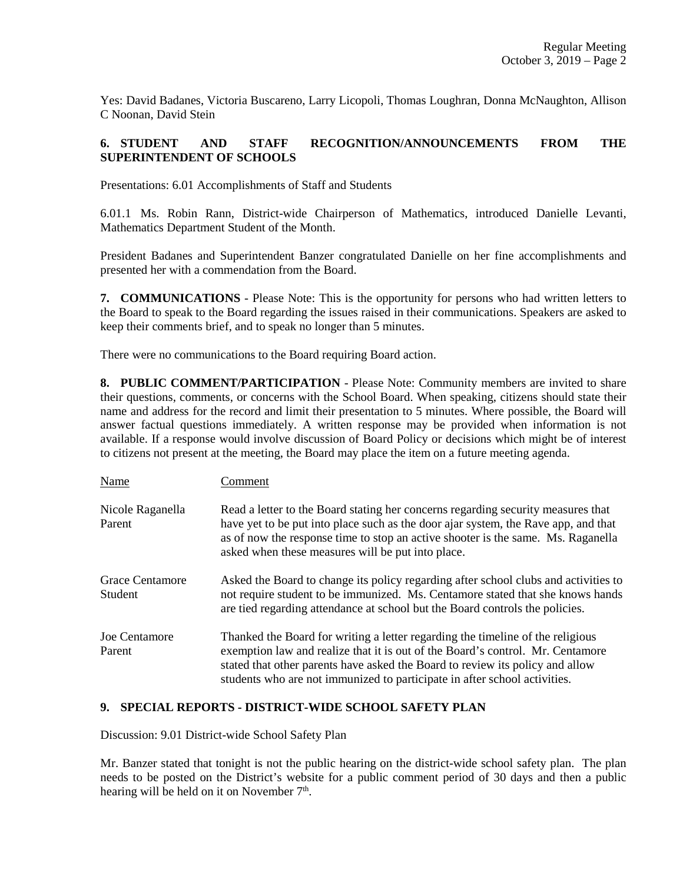Yes: David Badanes, Victoria Buscareno, Larry Licopoli, Thomas Loughran, Donna McNaughton, Allison C Noonan, David Stein

## **6. STUDENT AND STAFF RECOGNITION/ANNOUNCEMENTS FROM THE SUPERINTENDENT OF SCHOOLS**

Presentations: 6.01 Accomplishments of Staff and Students

6.01.1 Ms. Robin Rann, District-wide Chairperson of Mathematics, introduced Danielle Levanti, Mathematics Department Student of the Month.

President Badanes and Superintendent Banzer congratulated Danielle on her fine accomplishments and presented her with a commendation from the Board.

**7. COMMUNICATIONS** - Please Note: This is the opportunity for persons who had written letters to the Board to speak to the Board regarding the issues raised in their communications. Speakers are asked to keep their comments brief, and to speak no longer than 5 minutes.

There were no communications to the Board requiring Board action.

**8. PUBLIC COMMENT/PARTICIPATION** - Please Note: Community members are invited to share their questions, comments, or concerns with the School Board. When speaking, citizens should state their name and address for the record and limit their presentation to 5 minutes. Where possible, the Board will answer factual questions immediately. A written response may be provided when information is not available. If a response would involve discussion of Board Policy or decisions which might be of interest to citizens not present at the meeting, the Board may place the item on a future meeting agenda.

| Name                           | Comment                                                                                                                                                                                                                                                                                                                        |
|--------------------------------|--------------------------------------------------------------------------------------------------------------------------------------------------------------------------------------------------------------------------------------------------------------------------------------------------------------------------------|
| Nicole Raganella<br>Parent     | Read a letter to the Board stating her concerns regarding security measures that<br>have yet to be put into place such as the door ajar system, the Rave app, and that<br>as of now the response time to stop an active shooter is the same. Ms. Raganella<br>asked when these measures will be put into place.                |
| Grace Centamore<br>Student     | Asked the Board to change its policy regarding after school clubs and activities to<br>not require student to be immunized. Ms. Centamore stated that she knows hands<br>are tied regarding attendance at school but the Board controls the policies.                                                                          |
| <b>Joe Centamore</b><br>Parent | Thanked the Board for writing a letter regarding the timeline of the religious<br>exemption law and realize that it is out of the Board's control. Mr. Centamore<br>stated that other parents have asked the Board to review its policy and allow<br>students who are not immunized to participate in after school activities. |

### **9. SPECIAL REPORTS - DISTRICT-WIDE SCHOOL SAFETY PLAN**

Discussion: 9.01 District-wide School Safety Plan

Mr. Banzer stated that tonight is not the public hearing on the district-wide school safety plan. The plan needs to be posted on the District's website for a public comment period of 30 days and then a public hearing will be held on it on November 7<sup>th</sup>.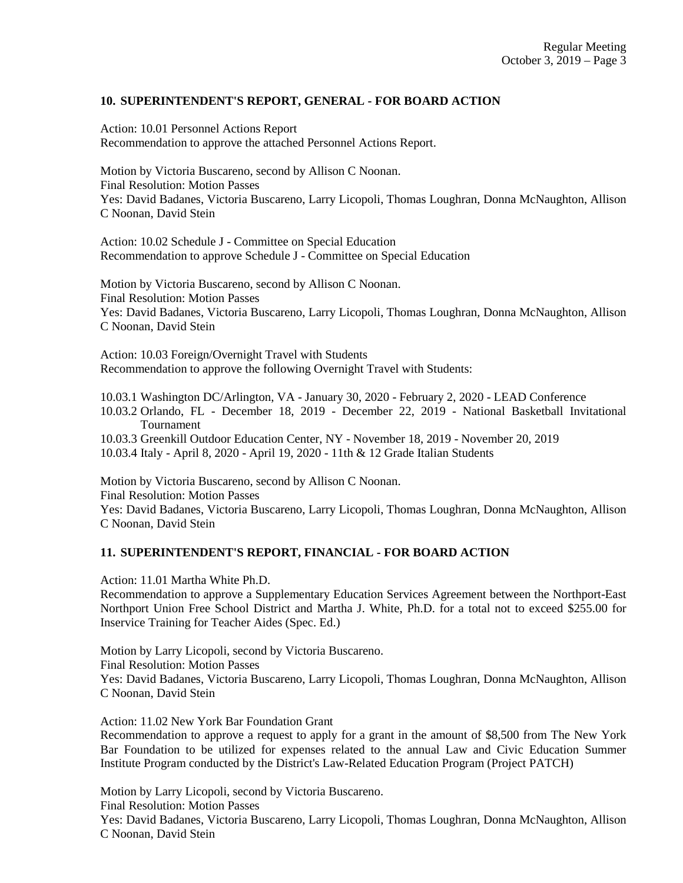## **10. SUPERINTENDENT'S REPORT, GENERAL - FOR BOARD ACTION**

Action: 10.01 Personnel Actions Report Recommendation to approve the attached Personnel Actions Report.

Motion by Victoria Buscareno, second by Allison C Noonan. Final Resolution: Motion Passes Yes: David Badanes, Victoria Buscareno, Larry Licopoli, Thomas Loughran, Donna McNaughton, Allison C Noonan, David Stein

Action: 10.02 Schedule J - Committee on Special Education Recommendation to approve Schedule J - Committee on Special Education

Motion by Victoria Buscareno, second by Allison C Noonan. Final Resolution: Motion Passes Yes: David Badanes, Victoria Buscareno, Larry Licopoli, Thomas Loughran, Donna McNaughton, Allison C Noonan, David Stein

Action: 10.03 Foreign/Overnight Travel with Students Recommendation to approve the following Overnight Travel with Students:

10.03.1 Washington DC/Arlington, VA - January 30, 2020 - February 2, 2020 - LEAD Conference 10.03.2 Orlando, FL - December 18, 2019 - December 22, 2019 - National Basketball Invitational Tournament

10.03.3 Greenkill Outdoor Education Center, NY - November 18, 2019 - November 20, 2019 10.03.4 Italy - April 8, 2020 - April 19, 2020 - 11th & 12 Grade Italian Students

Motion by Victoria Buscareno, second by Allison C Noonan. Final Resolution: Motion Passes Yes: David Badanes, Victoria Buscareno, Larry Licopoli, Thomas Loughran, Donna McNaughton, Allison C Noonan, David Stein

### **11. SUPERINTENDENT'S REPORT, FINANCIAL - FOR BOARD ACTION**

Action: 11.01 Martha White Ph.D.

Recommendation to approve a Supplementary Education Services Agreement between the Northport-East Northport Union Free School District and Martha J. White, Ph.D. for a total not to exceed \$255.00 for Inservice Training for Teacher Aides (Spec. Ed.)

Motion by Larry Licopoli, second by Victoria Buscareno. Final Resolution: Motion Passes Yes: David Badanes, Victoria Buscareno, Larry Licopoli, Thomas Loughran, Donna McNaughton, Allison C Noonan, David Stein

Action: 11.02 New York Bar Foundation Grant

Recommendation to approve a request to apply for a grant in the amount of \$8,500 from The New York Bar Foundation to be utilized for expenses related to the annual Law and Civic Education Summer Institute Program conducted by the District's Law-Related Education Program (Project PATCH)

Motion by Larry Licopoli, second by Victoria Buscareno. Final Resolution: Motion Passes

Yes: David Badanes, Victoria Buscareno, Larry Licopoli, Thomas Loughran, Donna McNaughton, Allison C Noonan, David Stein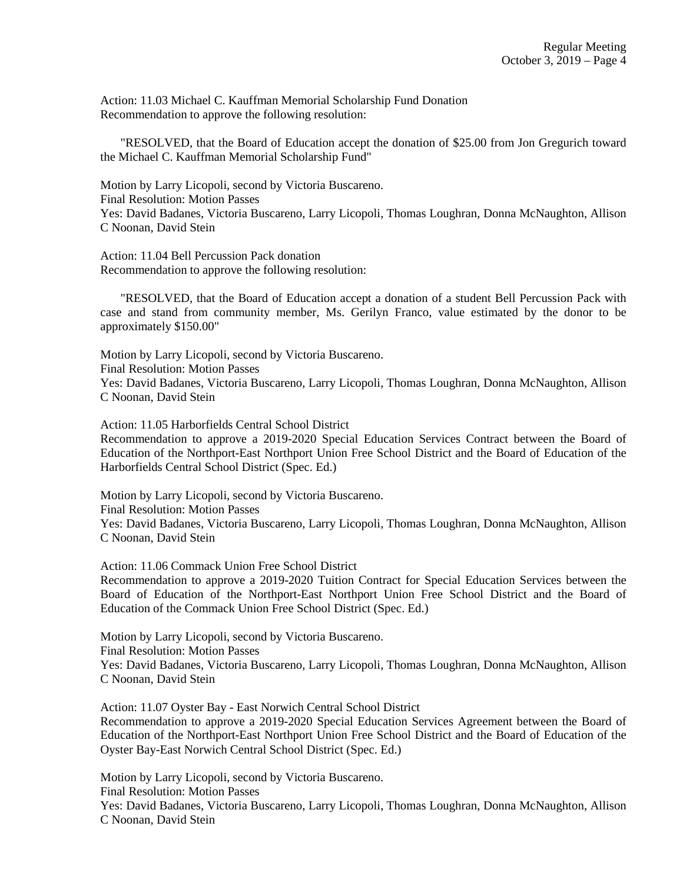Action: 11.03 Michael C. Kauffman Memorial Scholarship Fund Donation Recommendation to approve the following resolution:

"RESOLVED, that the Board of Education accept the donation of \$25.00 from Jon Gregurich toward the Michael C. Kauffman Memorial Scholarship Fund"

Motion by Larry Licopoli, second by Victoria Buscareno. Final Resolution: Motion Passes Yes: David Badanes, Victoria Buscareno, Larry Licopoli, Thomas Loughran, Donna McNaughton, Allison C Noonan, David Stein

Action: 11.04 Bell Percussion Pack donation Recommendation to approve the following resolution:

"RESOLVED, that the Board of Education accept a donation of a student Bell Percussion Pack with case and stand from community member, Ms. Gerilyn Franco, value estimated by the donor to be approximately \$150.00"

Motion by Larry Licopoli, second by Victoria Buscareno. Final Resolution: Motion Passes Yes: David Badanes, Victoria Buscareno, Larry Licopoli, Thomas Loughran, Donna McNaughton, Allison C Noonan, David Stein

Action: 11.05 Harborfields Central School District

Recommendation to approve a 2019-2020 Special Education Services Contract between the Board of Education of the Northport-East Northport Union Free School District and the Board of Education of the Harborfields Central School District (Spec. Ed.)

Motion by Larry Licopoli, second by Victoria Buscareno. Final Resolution: Motion Passes Yes: David Badanes, Victoria Buscareno, Larry Licopoli, Thomas Loughran, Donna McNaughton, Allison C Noonan, David Stein

Action: 11.06 Commack Union Free School District

Recommendation to approve a 2019-2020 Tuition Contract for Special Education Services between the Board of Education of the Northport-East Northport Union Free School District and the Board of Education of the Commack Union Free School District (Spec. Ed.)

Motion by Larry Licopoli, second by Victoria Buscareno.

Final Resolution: Motion Passes

Yes: David Badanes, Victoria Buscareno, Larry Licopoli, Thomas Loughran, Donna McNaughton, Allison C Noonan, David Stein

Action: 11.07 Oyster Bay - East Norwich Central School District

Recommendation to approve a 2019-2020 Special Education Services Agreement between the Board of Education of the Northport-East Northport Union Free School District and the Board of Education of the Oyster Bay-East Norwich Central School District (Spec. Ed.)

Motion by Larry Licopoli, second by Victoria Buscareno.

Final Resolution: Motion Passes

Yes: David Badanes, Victoria Buscareno, Larry Licopoli, Thomas Loughran, Donna McNaughton, Allison C Noonan, David Stein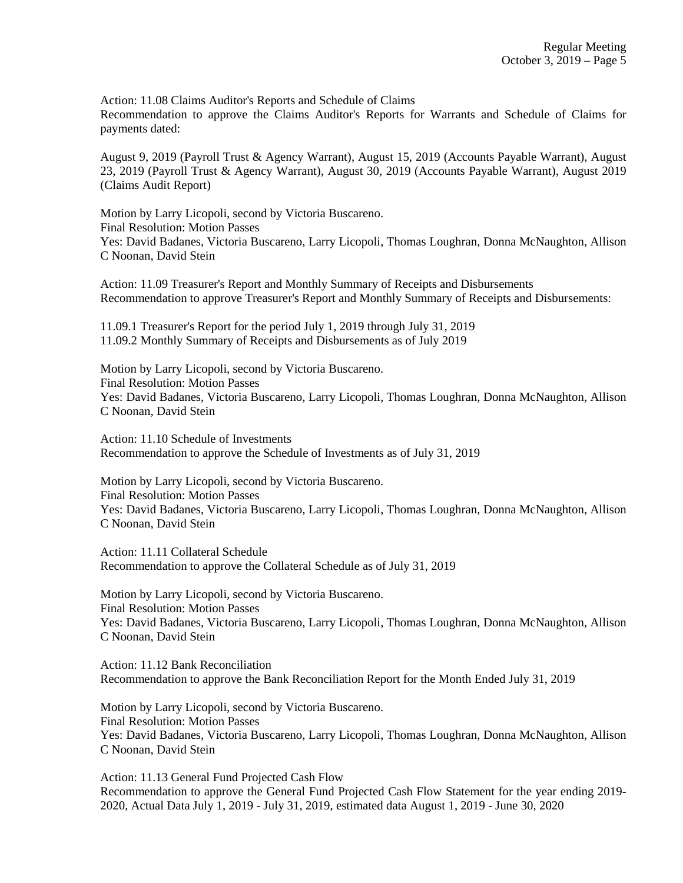Action: 11.08 Claims Auditor's Reports and Schedule of Claims Recommendation to approve the Claims Auditor's Reports for Warrants and Schedule of Claims for payments dated:

August 9, 2019 (Payroll Trust & Agency Warrant), August 15, 2019 (Accounts Payable Warrant), August 23, 2019 (Payroll Trust & Agency Warrant), August 30, 2019 (Accounts Payable Warrant), August 2019 (Claims Audit Report)

Motion by Larry Licopoli, second by Victoria Buscareno. Final Resolution: Motion Passes Yes: David Badanes, Victoria Buscareno, Larry Licopoli, Thomas Loughran, Donna McNaughton, Allison C Noonan, David Stein

Action: 11.09 Treasurer's Report and Monthly Summary of Receipts and Disbursements Recommendation to approve Treasurer's Report and Monthly Summary of Receipts and Disbursements:

11.09.1 Treasurer's Report for the period July 1, 2019 through July 31, 2019 11.09.2 Monthly Summary of Receipts and Disbursements as of July 2019

Motion by Larry Licopoli, second by Victoria Buscareno. Final Resolution: Motion Passes Yes: David Badanes, Victoria Buscareno, Larry Licopoli, Thomas Loughran, Donna McNaughton, Allison C Noonan, David Stein

Action: 11.10 Schedule of Investments Recommendation to approve the Schedule of Investments as of July 31, 2019

Motion by Larry Licopoli, second by Victoria Buscareno. Final Resolution: Motion Passes Yes: David Badanes, Victoria Buscareno, Larry Licopoli, Thomas Loughran, Donna McNaughton, Allison C Noonan, David Stein

Action: 11.11 Collateral Schedule Recommendation to approve the Collateral Schedule as of July 31, 2019

Motion by Larry Licopoli, second by Victoria Buscareno. Final Resolution: Motion Passes Yes: David Badanes, Victoria Buscareno, Larry Licopoli, Thomas Loughran, Donna McNaughton, Allison C Noonan, David Stein

Action: 11.12 Bank Reconciliation Recommendation to approve the Bank Reconciliation Report for the Month Ended July 31, 2019

Motion by Larry Licopoli, second by Victoria Buscareno. Final Resolution: Motion Passes Yes: David Badanes, Victoria Buscareno, Larry Licopoli, Thomas Loughran, Donna McNaughton, Allison C Noonan, David Stein

Action: 11.13 General Fund Projected Cash Flow Recommendation to approve the General Fund Projected Cash Flow Statement for the year ending 2019- 2020, Actual Data July 1, 2019 - July 31, 2019, estimated data August 1, 2019 - June 30, 2020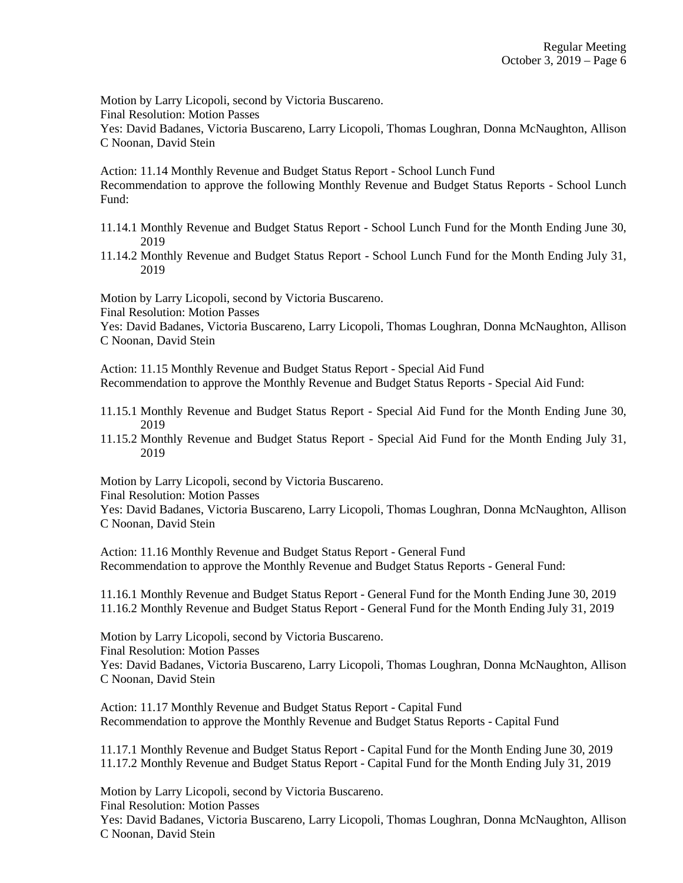Motion by Larry Licopoli, second by Victoria Buscareno.

Final Resolution: Motion Passes

Yes: David Badanes, Victoria Buscareno, Larry Licopoli, Thomas Loughran, Donna McNaughton, Allison C Noonan, David Stein

Action: 11.14 Monthly Revenue and Budget Status Report - School Lunch Fund Recommendation to approve the following Monthly Revenue and Budget Status Reports - School Lunch Fund:

- 11.14.1 Monthly Revenue and Budget Status Report School Lunch Fund for the Month Ending June 30, 2019
- 11.14.2 Monthly Revenue and Budget Status Report School Lunch Fund for the Month Ending July 31, 2019

Motion by Larry Licopoli, second by Victoria Buscareno.

Final Resolution: Motion Passes

Yes: David Badanes, Victoria Buscareno, Larry Licopoli, Thomas Loughran, Donna McNaughton, Allison C Noonan, David Stein

Action: 11.15 Monthly Revenue and Budget Status Report - Special Aid Fund Recommendation to approve the Monthly Revenue and Budget Status Reports - Special Aid Fund:

- 11.15.1 Monthly Revenue and Budget Status Report Special Aid Fund for the Month Ending June 30, 2019
- 11.15.2 Monthly Revenue and Budget Status Report Special Aid Fund for the Month Ending July 31, 2019

Motion by Larry Licopoli, second by Victoria Buscareno.

Final Resolution: Motion Passes

Yes: David Badanes, Victoria Buscareno, Larry Licopoli, Thomas Loughran, Donna McNaughton, Allison C Noonan, David Stein

Action: 11.16 Monthly Revenue and Budget Status Report - General Fund Recommendation to approve the Monthly Revenue and Budget Status Reports - General Fund:

11.16.1 Monthly Revenue and Budget Status Report - General Fund for the Month Ending June 30, 2019 11.16.2 Monthly Revenue and Budget Status Report - General Fund for the Month Ending July 31, 2019

Motion by Larry Licopoli, second by Victoria Buscareno.

Final Resolution: Motion Passes

Yes: David Badanes, Victoria Buscareno, Larry Licopoli, Thomas Loughran, Donna McNaughton, Allison C Noonan, David Stein

Action: 11.17 Monthly Revenue and Budget Status Report - Capital Fund Recommendation to approve the Monthly Revenue and Budget Status Reports - Capital Fund

11.17.1 Monthly Revenue and Budget Status Report - Capital Fund for the Month Ending June 30, 2019 11.17.2 Monthly Revenue and Budget Status Report - Capital Fund for the Month Ending July 31, 2019

Motion by Larry Licopoli, second by Victoria Buscareno. Final Resolution: Motion Passes Yes: David Badanes, Victoria Buscareno, Larry Licopoli, Thomas Loughran, Donna McNaughton, Allison C Noonan, David Stein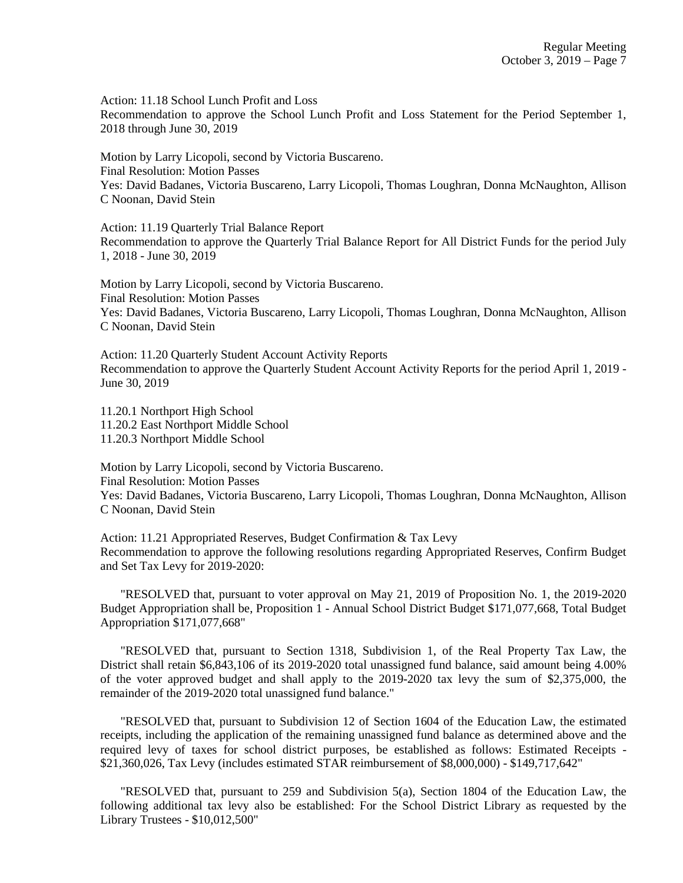Action: 11.18 School Lunch Profit and Loss Recommendation to approve the School Lunch Profit and Loss Statement for the Period September 1, 2018 through June 30, 2019

Motion by Larry Licopoli, second by Victoria Buscareno. Final Resolution: Motion Passes Yes: David Badanes, Victoria Buscareno, Larry Licopoli, Thomas Loughran, Donna McNaughton, Allison C Noonan, David Stein

Action: 11.19 Quarterly Trial Balance Report Recommendation to approve the Quarterly Trial Balance Report for All District Funds for the period July 1, 2018 - June 30, 2019

Motion by Larry Licopoli, second by Victoria Buscareno. Final Resolution: Motion Passes Yes: David Badanes, Victoria Buscareno, Larry Licopoli, Thomas Loughran, Donna McNaughton, Allison C Noonan, David Stein

Action: 11.20 Quarterly Student Account Activity Reports Recommendation to approve the Quarterly Student Account Activity Reports for the period April 1, 2019 - June 30, 2019

11.20.1 Northport High School 11.20.2 East Northport Middle School 11.20.3 Northport Middle School

Motion by Larry Licopoli, second by Victoria Buscareno. Final Resolution: Motion Passes Yes: David Badanes, Victoria Buscareno, Larry Licopoli, Thomas Loughran, Donna McNaughton, Allison C Noonan, David Stein

Action: 11.21 Appropriated Reserves, Budget Confirmation & Tax Levy Recommendation to approve the following resolutions regarding Appropriated Reserves, Confirm Budget and Set Tax Levy for 2019-2020:

"RESOLVED that, pursuant to voter approval on May 21, 2019 of Proposition No. 1, the 2019-2020 Budget Appropriation shall be, Proposition 1 - Annual School District Budget \$171,077,668, Total Budget Appropriation \$171,077,668"

"RESOLVED that, pursuant to Section 1318, Subdivision 1, of the Real Property Tax Law, the District shall retain \$6,843,106 of its 2019-2020 total unassigned fund balance, said amount being 4.00% of the voter approved budget and shall apply to the 2019-2020 tax levy the sum of \$2,375,000, the remainder of the 2019-2020 total unassigned fund balance."

"RESOLVED that, pursuant to Subdivision 12 of Section 1604 of the Education Law, the estimated receipts, including the application of the remaining unassigned fund balance as determined above and the required levy of taxes for school district purposes, be established as follows: Estimated Receipts - \$21,360,026, Tax Levy (includes estimated STAR reimbursement of \$8,000,000) - \$149,717,642"

"RESOLVED that, pursuant to 259 and Subdivision 5(a), Section 1804 of the Education Law, the following additional tax levy also be established: For the School District Library as requested by the Library Trustees - \$10,012,500"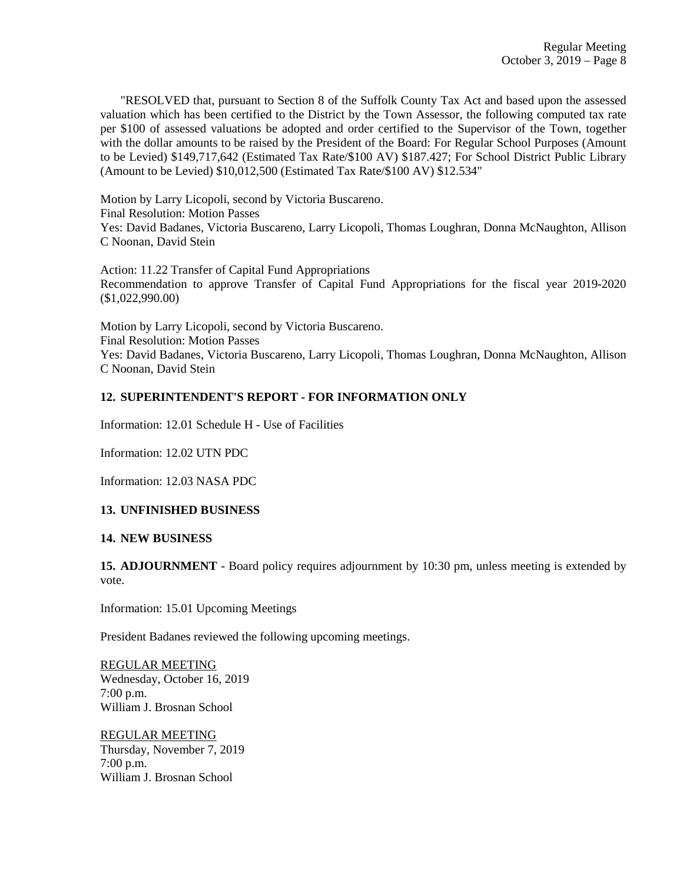"RESOLVED that, pursuant to Section 8 of the Suffolk County Tax Act and based upon the assessed valuation which has been certified to the District by the Town Assessor, the following computed tax rate per \$100 of assessed valuations be adopted and order certified to the Supervisor of the Town, together with the dollar amounts to be raised by the President of the Board: For Regular School Purposes (Amount to be Levied) \$149,717,642 (Estimated Tax Rate/\$100 AV) \$187.427; For School District Public Library (Amount to be Levied) \$10,012,500 (Estimated Tax Rate/\$100 AV) \$12.534"

Motion by Larry Licopoli, second by Victoria Buscareno. Final Resolution: Motion Passes Yes: David Badanes, Victoria Buscareno, Larry Licopoli, Thomas Loughran, Donna McNaughton, Allison C Noonan, David Stein

Action: 11.22 Transfer of Capital Fund Appropriations Recommendation to approve Transfer of Capital Fund Appropriations for the fiscal year 2019-2020 (\$1,022,990.00)

Motion by Larry Licopoli, second by Victoria Buscareno. Final Resolution: Motion Passes Yes: David Badanes, Victoria Buscareno, Larry Licopoli, Thomas Loughran, Donna McNaughton, Allison C Noonan, David Stein

### **12. SUPERINTENDENT'S REPORT - FOR INFORMATION ONLY**

Information: 12.01 Schedule H - Use of Facilities

Information: 12.02 UTN PDC

Information: 12.03 NASA PDC

### **13. UNFINISHED BUSINESS**

#### **14. NEW BUSINESS**

**15. ADJOURNMENT** - Board policy requires adjournment by 10:30 pm, unless meeting is extended by vote.

Information: 15.01 Upcoming Meetings

President Badanes reviewed the following upcoming meetings.

REGULAR MEETING Wednesday, October 16, 2019 7:00 p.m. William J. Brosnan School

REGULAR MEETING Thursday, November 7, 2019 7:00 p.m. William J. Brosnan School